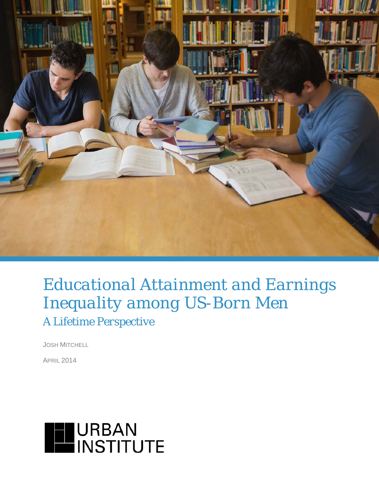

# *Educational Attainment and Earnings Inequality among US-Born Men A Lifetime Perspective*

JOSH MITCHELL

APRIL 2014

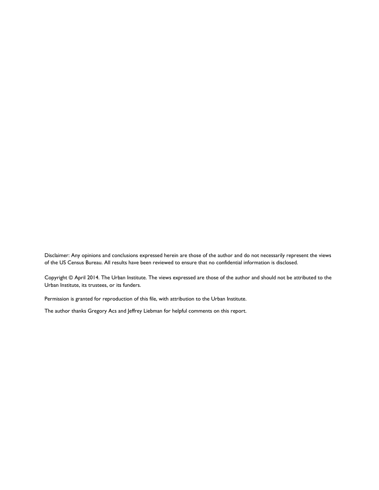Disclaimer: Any opinions and conclusions expressed herein are those of the author and do not necessarily represent the views of the US Census Bureau. All results have been reviewed to ensure that no confidential information is disclosed.

Copyright © April 2014. The Urban Institute. The views expressed are those of the author and should not be attributed to the Urban Institute, its trustees, or its funders.

Permission is granted for reproduction of this file, with attribution to the Urban Institute.

The author thanks Gregory Acs and Jeffrey Liebman for helpful comments on this report.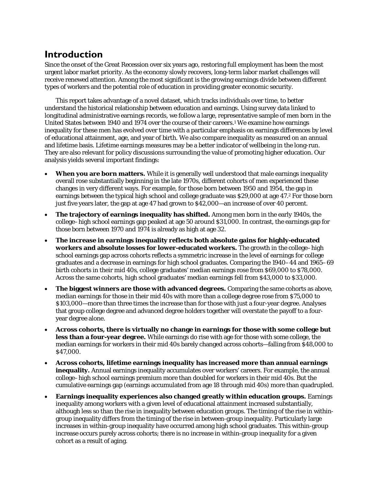## **Introduction**

Since the onset of the Great Recession over six years ago, restoring full employment has been the most urgent labor market priority. As the economy slowly recovers, long-term labor market challenges will receive renewed attention. Among the most significant is the growing earnings divide between different types of workers and the potential role of education in providing greater economic security.

This report takes advantage of a novel dataset, which tracks individuals over time, to better understand the historical relationship between education and earnings. Using survey data linked to longitudinal administrative earnings records, we follow a large, representative sample of men born in the United States between 1940 and 1974 over the course of their careers.<sup>1</sup> We examine how earnings inequality for these men has evolved over time with a particular emphasis on earnings differences by level of educational attainment, age, and year of birth. We also compare inequality as measured on an annual and lifetime basis. Lifetime earnings measures may be a better indicator of wellbeing in the long-run. They are also relevant for policy discussions surrounding the value of promoting higher education. Our analysis yields several important findings:

- **When you are born matters.** While it is generally well understood that male earnings inequality overall rose substantially beginning in the late 1970s, different cohorts of men experienced these changes in very different ways. For example, for those born between 1950 and 1954, the gap in earnings between the typical high school and college graduate was \$29,000 at age 47.2 For those born just five years later, the gap at age 47 had grown to \$42,000—an increase of over 40 percent.
- **The trajectory of earnings inequality has shifted.** Among men born in the early 1940s, the college–high school earnings gap peaked at age 50 around \$31,000. In contrast, the earnings gap for those born between 1970 and 1974 is already as high at age 32.
- **The increase in earnings inequality reflects both absolute gains for highly-educated workers and absolute losses for lower-educated workers.** The growth in the college–high school earnings gap across cohorts reflects a symmetric increase in the level of earnings for college graduates and a decrease in earnings for high school graduates. Comparing the 1940–44 and 1965–69 birth cohorts in their mid 40s, college graduates' median earnings rose from \$69,000 to \$78,000. Across the same cohorts, high school graduates' median earnings fell from \$43,000 to \$33,000.
- **The biggest winners are those with advanced degrees.** Comparing the same cohorts as above, median earnings for those in their mid 40s with more than a college degree rose from \$75,000 to \$103,000—more than three times the increase than for those with just a four-year degree. Analyses that group college degree and advanced degree holders together will overstate the payoff to a fouryear degree alone.
- **Across cohorts, there is virtually no change in earnings for those with some college but less than a four-year degree.** While earnings do rise with age for those with some college, the median earnings for workers in their mid 40s barely changed across cohorts—falling from \$48,000 to \$47,000.
- **Across cohorts, lifetime earnings inequality has increased more than annual earnings inequality.** Annual earnings inequality accumulates over workers' careers. For example, the annual college–high school earnings premium more than doubled for workers in their mid 40s. But the cumulative earnings gap (earnings accumulated from age 18 through mid 40s) more than quadrupled.
- **Earnings inequality experiences also changed greatly** *within* **education groups.** Earnings inequality among workers with a given level of educational attainment increased substantially, although less so than the rise in inequality between education groups. The timing of the rise in withingroup inequality differs from the timing of the rise in between-group inequality. Particularly large increases in within-group inequality have occurred among high school graduates. This within-group increase occurs purely across cohorts; there is no increase in within-group inequality for a given cohort as a result of aging.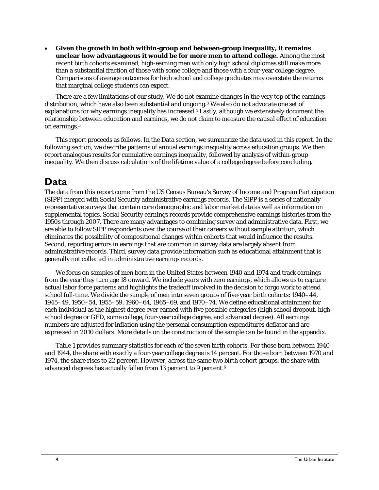• **Given the growth in both within-group and between-group inequality, it remains unclear how advantageous it would be for more men to attend college.** Among the most recent birth cohorts examined, high-earning men with only high school diplomas still make more than a substantial fraction of those with some college and those with a four-year college degree. Comparisons of average outcomes for high school and college graduates may overstate the returns that marginal college students can expect.

There are a few limitations of our study. We do not examine changes in the very top of the earnings distribution, which have also been substantial and ongoing.3 We also do not advocate one set of explanations for why earnings inequality has increased.4 Lastly, although we extensively document the relationship between education and earnings, we do not claim to measure the *causal* effect of education on earnings.<sup>5</sup>

This report proceeds as follows. In the Data section, we summarize the data used in this report. In the following section, we describe patterns of annual earnings inequality across education groups. We then report analogous results for cumulative earnings inequality, followed by analysis of within-group inequality. We then discuss calculations of the lifetime value of a college degree before concluding.

# **Data**

The data from this report come from the US Census Bureau's Survey of Income and Program Participation (SIPP) merged with Social Security administrative earnings records. The SIPP is a series of nationally representative surveys that contain core demographic and labor market data as well as information on supplemental topics. Social Security earnings records provide comprehensive earnings histories from the 1950s through 2007. There are many advantages to combining survey and administrative data. First, we are able to follow SIPP respondents over the course of their careers without sample attrition, which eliminates the possibility of compositional changes within cohorts that would influence the results. Second, reporting errors in earnings that are common in survey data are largely absent from administrative records. Third, survey data provide information such as educational attainment that is generally not collected in administrative earnings records.

We focus on samples of men born in the United States between 1940 and 1974 and track earnings from the year they turn age 18 onward. We include years with zero earnings, which allows us to capture actual labor force patterns and highlights the tradeoff involved in the decision to forgo work to attend school full-time. We divide the sample of men into seven groups of five-year birth cohorts: 1940–44, 1945–49, 1950–54, 1955–59, 1960–64, 1965–69, and 1970–74. We define educational attainment for each individual as the highest degree ever earned with five possible categories (high school dropout, high school degree or GED, some college, four-year college degree, and advanced degree). All earnings numbers are adjusted for inflation using the personal consumption expenditures deflator and are expressed in 2010 dollars. More details on the construction of the sample can be found in the appendix.

Table 1 provides summary statistics for each of the seven birth cohorts. For those born between 1940 and 1944, the share with exactly a four-year college degree is 14 percent. For those born between 1970 and 1974, the share rises to 22 percent. However, across the same two birth cohort groups, the share with advanced degrees has actually fallen from 13 percent to 9 percent.6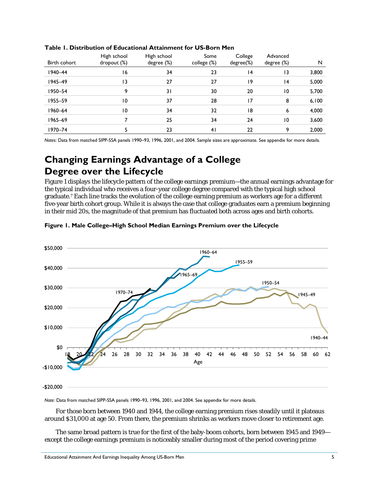| Birth cohort | High school<br>$\textsf{dropout}(\%)$ | High school<br>degree (%) | Some<br>college (%) | College<br>degree(%) | Advanced<br>degree (%) | N     |
|--------------|---------------------------------------|---------------------------|---------------------|----------------------|------------------------|-------|
| 1940-44      | 16                                    | 34                        | 23                  | 4                    | 13                     | 3,800 |
| 1945-49      | 13                                    | 27                        | 27                  | 9                    | 4                      | 5,000 |
| 1950-54      | 9                                     | 31                        | 30                  | 20                   | 10                     | 5,700 |
| 1955-59      | $\overline{10}$                       | 37                        | 28                  | 17                   | 8                      | 6,100 |
| 1960-64      | $\overline{10}$                       | 34                        | 32                  | 18                   | 6                      | 4,000 |
| 1965-69      |                                       | 25                        | 34                  | 24                   | 10                     | 3,600 |
| 1970-74      |                                       | 23                        | 4 <sub>l</sub>      | 22                   | 9                      | 2,000 |

#### **Table 1. Distribution of Educational Attainment for US-Born Men**

*Notes*: Data from matched SIPP-SSA panels 1990–93, 1996, 2001, and 2004. Sample sizes are approximate. See appendix for more details.

# **Changing Earnings Advantage of a College Degree over the Lifecycle**

Figure 1 displays the lifecycle pattern of the college earnings premium—the annual earnings advantage for the typical individual who receives a four-year college degree compared with the typical high school graduate.7 Each line tracks the evolution of the college earning premium as workers age for a different five-year birth cohort group. While it is always the case that college graduates earn a premium beginning in their mid 20s, the magnitude of that premium has fluctuated both across ages and birth cohorts.



#### **Figure 1. Male College–High School Median Earnings Premium over the Lifecycle**

*Note*: Data from matched SIPP-SSA panels 1990–93, 1996, 2001, and 2004. See appendix for more details.

For those born between 1940 and 1944, the college earning premium rises steadily until it plateaus around \$31,000 at age 50. From there, the premium shrinks as workers move closer to retirement age.

The same broad pattern is true for the first of the baby-boom cohorts, born between 1945 and 1949 except the college earnings premium is noticeably smaller during most of the period covering prime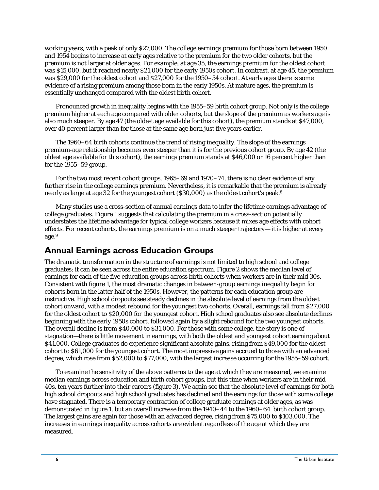working years, with a peak of only \$27,000. The college earnings premium for those born between 1950 and 1954 begins to increase at early ages relative to the premium for the two older cohorts, but the premium is not larger at older ages. For example, at age 35, the earnings premium for the oldest cohort was \$15,000, but it reached nearly \$21,000 for the early 1950s cohort. In contrast, at age 45, the premium was \$29,000 for the oldest cohort and \$27,000 for the 1950–54 cohort. At early ages there is some evidence of a rising premium among those born in the early 1950s. At mature ages, the premium is essentially unchanged compared with the oldest birth cohort.

Pronounced growth in inequality begins with the 1955–59 birth cohort group. Not only is the college premium higher at each age compared with older cohorts, but the slope of the premium as workers age is also much steeper. By age 47 (the oldest age available for this cohort), the premium stands at \$47,000, over 40 percent larger than for those at the same age born just five years earlier.

The 1960–64 birth cohorts continue the trend of rising inequality. The slope of the earnings premium-age relationship becomes even steeper than it is for the previous cohort group. By age 42 (the oldest age available for this cohort), the earnings premium stands at \$46,000 or 16 percent higher than for the 1955–59 group.

For the two most recent cohort groups, 1965–69 and 1970–74, there is no clear evidence of any further rise in the college earnings premium. Nevertheless, it is remarkable that the premium is already nearly as large at age 32 for the youngest cohort (\$30,000) as the oldest cohort's peak.<sup>8</sup>

Many studies use a cross-section of annual earnings data to infer the lifetime earnings advantage of college graduates. Figure 1 suggests that calculating the premium in a cross-section potentially understates the lifetime advantage for typical college workers because it mixes age effects with cohort effects. For recent cohorts, the earnings premium is on a much steeper trajectory— it is higher at every age.9

### **Annual Earnings across Education Groups**

The dramatic transformation in the structure of earnings is not limited to high school and college graduates; it can be seen across the entire education spectrum. Figure 2 shows the median level of earnings for each of the five education groups across birth cohorts when workers are in their mid 30s. Consistent with figure 1, the most dramatic changes in between-group earnings inequality begin for cohorts born in the latter half of the 1950s. However, the patterns for each education group are instructive. High school dropouts see steady declines in the absolute level of earnings from the oldest cohort onward, with a modest rebound for the youngest two cohorts. Overall, earnings fall from \$27,000 for the oldest cohort to \$20,000 for the youngest cohort. High school graduates also see absolute declines beginning with the early 1950s cohort, followed again by a slight rebound for the two youngest cohorts. The overall decline is from \$40,000 to \$31,000. For those with some college, the story is one of stagnation—there is little movement in earnings, with both the oldest and youngest cohort earning about \$41,000. College graduates do experience significant absolute gains, rising from \$49,000 for the oldest cohort to \$61,000 for the youngest cohort. The most impressive gains accrued to those with an advanced degree, which rose from \$52,000 to \$77,000, with the largest increase occurring for the 1955–59 cohort.

To examine the sensitivity of the above patterns to the age at which they are measured, we examine median earnings across education and birth cohort groups, but this time when workers are in their mid 40s, ten years further into their careers (figure 3). We again see that the absolute level of earnings for both high school dropouts and high school graduates has declined and the earnings for those with some college have stagnated. There is a temporary contraction of college graduate earnings at older ages, as was demonstrated in figure 1, but an overall increase from the 1940–44 to the 1960–64 birth cohort group. The largest gains are again for those with an advanced degree, rising from \$75,000 to \$103,000. The increases in earnings inequality across cohorts are evident regardless of the age at which they are measured.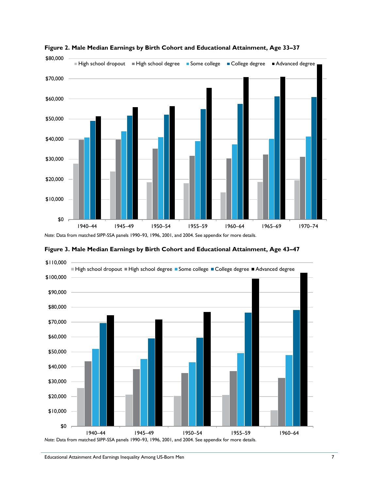

**Figure 2. Male Median Earnings by Birth Cohort and Educational Attainment, Age 33–37**

*Note*: Data from matched SIPP-SSA panels 1990–93, 1996, 2001, and 2004. See appendix for more details.

**Figure 3. Male Median Earnings by Birth Cohort and Educational Attainment, Age 43–47**

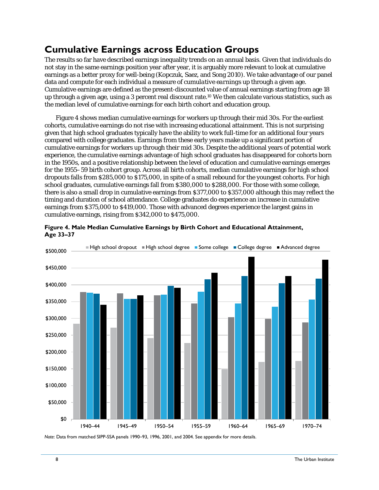# **Cumulative Earnings across Education Groups**

The results so far have described earnings inequality trends on an annual basis. Given that individuals do not stay in the same earnings position year after year, it is arguably more relevant to look at cumulative earnings as a better proxy for well-being (Kopczuk, Saez, and Song 2010). We take advantage of our panel data and compute for each individual a measure of *cumulative earnings* up through a given age. Cumulative earnings are defined as the present-discounted value of annual earnings starting from age 18 up through a given age, using a 3 percent real discount rate.10 We then calculate various statistics, such as the median level of cumulative earnings for each birth cohort and education group.

Figure 4 shows median cumulative earnings for workers up through their mid 30s. For the earliest cohorts, cumulative earnings do not rise with increasing educational attainment. This is not surprising given that high school graduates typically have the ability to work full-time for an additional four years compared with college graduates. Earnings from these early years make up a significant portion of cumulative earnings for workers up through their mid 30s. Despite the additional years of potential work experience, the cumulative earnings advantage of high school graduates has disappeared for cohorts born in the 1950s, and a positive relationship between the level of education and cumulative earnings emerges for the 1955–59 birth cohort group. Across all birth cohorts, median cumulative earnings for high school dropouts falls from \$285,000 to \$175,000, in spite of a small rebound for the youngest cohorts. For high school graduates, cumulative earnings fall from \$380,000 to \$288,000. For those with some college, there is also a small drop in cumulative earnings from \$377,000 to \$357,000 although this may reflect the timing and duration of school attendance. College graduates do experience an increase in cumulative earnings from \$375,000 to \$419,000. Those with advanced degrees experience the largest gains in cumulative earnings, rising from \$342,000 to \$475,000.



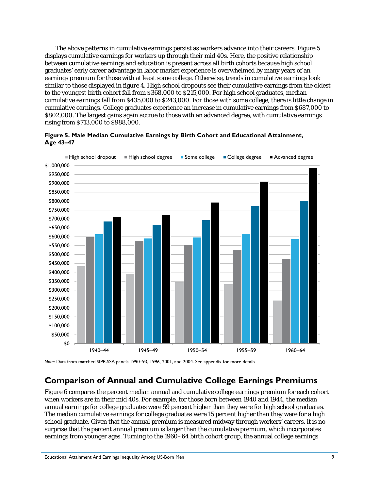The above patterns in cumulative earnings persist as workers advance into their careers. Figure 5 displays cumulative earnings for workers up through their mid 40s. Here, the positive relationship between cumulative earnings and education is present across all birth cohorts because high school graduates' early career advantage in labor market experience is overwhelmed by many years of an earnings premium for those with at least some college. Otherwise, trends in cumulative earnings look similar to those displayed in figure 4. High school dropouts see their cumulative earnings from the oldest to the youngest birth cohort fall from \$368,000 to \$215,000. For high school graduates, median cumulative earnings fall from \$435,000 to \$243,000. For those with some college, there is little change in cumulative earnings. College graduates experience an increase in cumulative earnings from \$687,000 to \$802,000. The largest gains again accrue to those with an advanced degree, with cumulative earnings rising from \$713,000 to \$988,000.





*Note*: Data from matched SIPP-SSA panels 1990–93, 1996, 2001, and 2004. See appendix for more details.

#### **Comparison of Annual and Cumulative College Earnings Premiums**

Figure 6 compares the percent median annual and cumulative college earnings premium for each cohort when workers are in their mid 40s. For example, for those born between 1940 and 1944, the median annual earnings for college graduates were 59 percent higher than they were for high school graduates. The median cumulative earnings for college graduates were 15 percent higher than they were for a high school graduate. Given that the annual premium is measured midway through workers' careers, it is no surprise that the percent annual premium is larger than the cumulative premium, which incorporates earnings from younger ages. Turning to the 1960–64 birth cohort group, the annual college earnings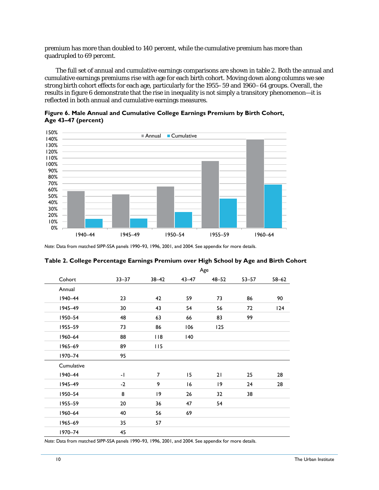premium has more than doubled to 140 percent, while the cumulative premium has more than quadrupled to 69 percent.

The full set of annual and cumulative earnings comparisons are shown in table 2. Both the annual and cumulative earnings premiums rise with age for each birth cohort. Moving down along columns we see strong birth cohort effects for each age, particularly for the 1955–59 and 1960–64 groups. Overall, the results in figure 6 demonstrate that the rise in inequality is not simply a transitory phenomenon—it is reflected in both annual and cumulative earnings measures.

**Figure 6. Male Annual and Cumulative College Earnings Premium by Birth Cohort, Age 43–47 (percent)**



*Note*: Data from matched SIPP-SSA panels 1990–93, 1996, 2001, and 2004. See appendix for more details.

|            |           |                |           | Age       |           |           |
|------------|-----------|----------------|-----------|-----------|-----------|-----------|
| Cohort     | $33 - 37$ | $38 - 42$      | $43 - 47$ | $48 - 52$ | $53 - 57$ | $58 - 62$ |
| Annual     |           |                |           |           |           |           |
| 1940-44    | 23        | 42             | 59        | 73        | 86        | 90        |
| 1945-49    | 30        | 43             | 54        | 56        | 72        | 124       |
| 1950-54    | 48        | 63             | 66        | 83        | 99        |           |
| 1955-59    | 73        | 86             | 106       | 125       |           |           |
| 1960-64    | 88        | 118            | 140       |           |           |           |
| 1965-69    | 89        | 115            |           |           |           |           |
| 1970-74    | 95        |                |           |           |           |           |
| Cumulative |           |                |           |           |           |           |
| 1940-44    | -1        | $\overline{7}$ | 15        | 21        | 25        | 28        |
| 1945-49    | $-2$      | 9              | 16        | 19        | 24        | 28        |
| 1950-54    | 8         | 9              | 26        | 32        | 38        |           |
| 1955-59    | 20        | 36             | 47        | 54        |           |           |
| 1960-64    | 40        | 56             | 69        |           |           |           |
| 1965-69    | 35        | 57             |           |           |           |           |
| 1970-74    | 45        |                |           |           |           |           |

#### **Table 2. College Percentage Earnings Premium over High School by Age and Birth Cohort**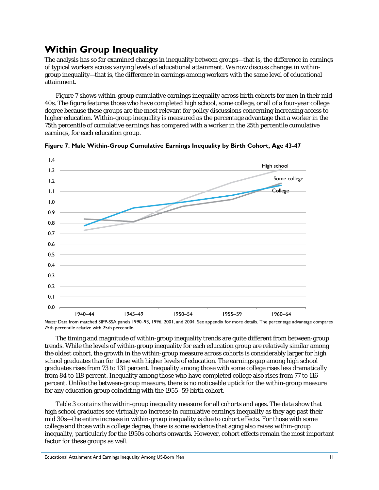# **Within Group Inequality**

The analysis has so far examined changes in inequality between groups—that is, the difference in earnings of typical workers across varying levels of educational attainment. We now discuss changes in withingroup inequality—that is, the difference in earnings among workers with the same level of educational attainment.

Figure 7 shows within-group cumulative earnings inequality across birth cohorts for men in their mid 40s. The figure features those who have completed high school, some college, or all of a four-year college degree because these groups are the most relevant for policy discussions concerning increasing access to higher education. Within-group inequality is measured as the percentage advantage that a worker in the 75th percentile of cumulative earnings has compared with a worker in the 25th percentile cumulative earnings, for each education group.





*Notes:* Data from matched SIPP-SSA panels 1990–93, 1996, 2001, and 2004. See appendix for more details. The percentage advantage compares 75th percentile relative with 25th percentile.

The timing and magnitude of within-group inequality trends are quite different from between-group trends. While the levels of within-group inequality for each education group are relatively similar among the oldest cohort, the growth in the within-group measure across cohorts is considerably larger for high school graduates than for those with higher levels of education. The earnings gap among high school graduates rises from 73 to 131 percent. Inequality among those with some college rises less dramatically from 84 to 118 percent. Inequality among those who have completed college also rises from 77 to 116 percent. Unlike the between-group measure, there is no noticeable uptick for the within-group measure for any education group coinciding with the 1955–59 birth cohort.

Table 3 contains the within-group inequality measure for all cohorts and ages. The data show that high school graduates see virtually no increase in cumulative earnings inequality as they age past their mid 30s—the entire increase in within-group inequality is due to cohort effects. For those with some college and those with a college degree, there is some evidence that aging also raises within-group inequality, particularly for the 1950s cohorts onwards. However, cohort effects remain the most important factor for these groups as well.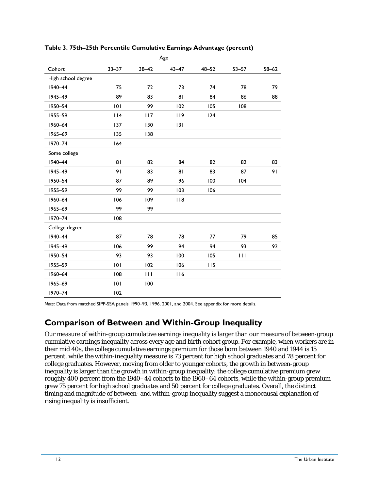|                    |           |           | Age       |           |           |           |
|--------------------|-----------|-----------|-----------|-----------|-----------|-----------|
| Cohort             | $33 - 37$ | $38 - 42$ | $43 - 47$ | $48 - 52$ | $53 - 57$ | $58 - 62$ |
| High school degree |           |           |           |           |           |           |
| 1940-44            | 75        | 72        | 73        | 74        | 78        | 79        |
| 1945-49            | 89        | 83        | 81        | 84        | 86        | 88        |
| 1950-54            | 101       | 99        | 102       | 105       | 108       |           |
| 1955-59            | 114       | 117       | 119       | 124       |           |           |
| 1960-64            | 137       | 130       | 131       |           |           |           |
| 1965-69            | 135       | 138       |           |           |           |           |
| 1970-74            | 164       |           |           |           |           |           |
| Some college       |           |           |           |           |           |           |
| 1940-44            | 81        | 82        | 84        | 82        | 82        | 83        |
| 1945-49            | 91        | 83        | 81        | 83        | 87        | 91        |
| 1950-54            | 87        | 89        | 96        | 100       | 104       |           |
| 1955-59            | 99        | 99        | 103       | 106       |           |           |
| 1960-64            | 106       | 109       | 118       |           |           |           |
| 1965-69            | 99        | 99        |           |           |           |           |
| 1970-74            | 108       |           |           |           |           |           |
| College degree     |           |           |           |           |           |           |
| 1940-44            | 87        | 78        | 78        | 77        | 79        | 85        |
| 1945-49            | 106       | 99        | 94        | 94        | 93        | 92        |
| 1950-54            | 93        | 93        | 100       | 105       | 111       |           |
| 1955-59            | 101       | 102       | 106       | 115       |           |           |
| 1960-64            | 108       | 111       | 116       |           |           |           |
| 1965-69            | 101       | 100       |           |           |           |           |
| 1970-74            | 102       |           |           |           |           |           |

#### **Table 3. 75th–25th Percentile Cumulative Earnings Advantage (percent)**

*Note*: Data from matched SIPP-SSA panels 1990–93, 1996, 2001, and 2004. See appendix for more details.

### **Comparison of Between and Within-Group Inequality**

Our measure of within-group cumulative earnings inequality is larger than our measure of between-group cumulative earnings inequality across every age and birth cohort group. For example, when workers are in their mid 40s, the college cumulative earnings premium for those born between 1940 and 1944 is 15 percent, while the within-inequality measure is 73 percent for high school graduates and 78 percent for college graduates. However, moving from older to younger cohorts, the growth in between-group inequality is larger than the growth in within-group inequality: the college cumulative premium grew roughly 400 percent from the 1940–44 cohorts to the 1960–64 cohorts, while the within-group premium grew 75 percent for high school graduates and 50 percent for college graduates. Overall, the distinct timing and magnitude of between- and within-group inequality suggest a monocausal explanation of rising inequality is insufficient.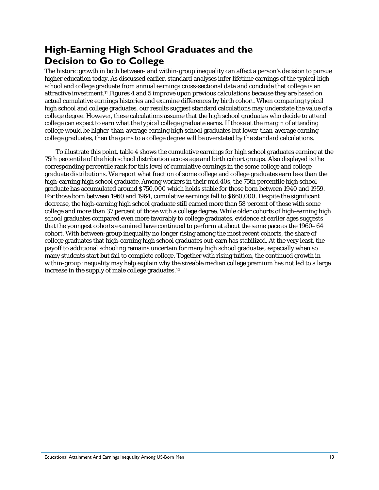# **High-Earning High School Graduates and the Decision to Go to College**

The historic growth in both between- and within-group inequality can affect a person's decision to pursue higher education today. As discussed earlier, standard analyses infer lifetime earnings of the typical high school and college graduate from annual earnings cross-sectional data and conclude that college is an attractive investment.11 Figures 4 and 5 improve upon previous calculations because they are based on actual cumulative earnings histories and examine differences by birth cohort. When comparing typical high school and college graduates, our results suggest standard calculations may understate the value of a college degree. However, these calculations assume that the high school graduates who decide to attend college can expect to earn what the typical college graduate earns. If those at the margin of attending college would be higher-than-average earning high school graduates but lower-than-average earning college graduates, then the gains to a college degree will be overstated by the standard calculations.

To illustrate this point, table 4 shows the cumulative earnings for high school graduates earning at the 75th percentile of the high school distribution across age and birth cohort groups. Also displayed is the corresponding percentile rank for this level of cumulative earnings in the some college and college graduate distributions. We report what fraction of some college and college graduates earn less than the high-earning high school graduate. Among workers in their mid 40s, the 75th percentile high school graduate has accumulated around \$750,000 which holds stable for those born between 1940 and 1959. For those born between 1960 and 1964, cumulative earnings fall to \$660,000. Despite the significant decrease, the high-earning high school graduate still earned more than 58 percent of those with some college and more than 37 percent of those with a college degree. While older cohorts of high-earning high school graduates compared even more favorably to college graduates, evidence at earlier ages suggests that the youngest cohorts examined have continued to perform at about the same pace as the 1960–64 cohort. With between-group inequality no longer rising among the most recent cohorts, the share of college graduates that high-earning high school graduates out-earn has stabilized. At the very least, the payoff to additional schooling remains uncertain for many high school graduates, especially when so many students start but fail to complete college. Together with rising tuition, the continued growth in within-group inequality may help explain why the sizeable median college premium has not led to a large increase in the supply of male college graduates.12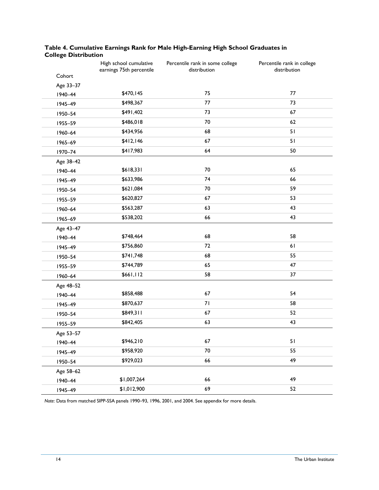|           | High school cumulative<br>earnings 75th percentile | Percentile rank in some college<br>distribution | Percentile rank in college<br>distribution |
|-----------|----------------------------------------------------|-------------------------------------------------|--------------------------------------------|
| Cohort    |                                                    |                                                 |                                            |
| Age 33-37 |                                                    |                                                 |                                            |
| 1940-44   | \$470,145                                          | 75                                              | 77                                         |
| 1945-49   | \$498,367                                          | 77                                              | 73                                         |
| 1950-54   | \$491,402                                          | 73                                              | 67                                         |
| 1955-59   | \$486,018                                          | 70                                              | 62                                         |
| 1960-64   | \$434,956                                          | 68                                              | 51                                         |
| 1965-69   | \$412,146                                          | 67                                              | 51                                         |
| 1970-74   | \$417,983                                          | 64                                              | 50                                         |
| Age 38-42 |                                                    |                                                 |                                            |
| 1940-44   | \$618,331                                          | 70                                              | 65                                         |
| 1945-49   | \$633,986                                          | 74                                              | 66                                         |
| 1950-54   | \$621,084                                          | $70\,$                                          | 59                                         |
| 1955-59   | \$620,827                                          | 67                                              | 53                                         |
| 1960-64   | \$563,287                                          | 63                                              | 43                                         |
| 1965-69   | \$538,202                                          | 66                                              | 43                                         |
| Age 43-47 |                                                    |                                                 |                                            |
| 1940-44   | \$748,464                                          | 68                                              | 58                                         |
| 1945-49   | \$756,860                                          | 72                                              | 61                                         |
| 1950-54   | \$741,748                                          | 68                                              | 55                                         |
| 1955-59   | \$744,789                                          | 65                                              | 47                                         |
| 1960-64   | \$661,112                                          | 58                                              | 37                                         |
| Age 48-52 |                                                    |                                                 |                                            |
| 1940-44   | \$858,488                                          | 67                                              | 54                                         |
| 1945-49   | \$870,637                                          | 71                                              | 58                                         |
| 1950-54   | \$849,311                                          | 67                                              | 52                                         |
| 1955-59   | \$842,405                                          | 63                                              | 43                                         |
| Age 53-57 |                                                    |                                                 |                                            |
| 1940-44   | \$946,210                                          | 67                                              | 51                                         |
| 1945-49   | \$958,920                                          | $70\,$                                          | 55                                         |
| 1950-54   | \$929,023                                          | 66                                              | 49                                         |
| Age 58-62 |                                                    |                                                 |                                            |
| 1940-44   | \$1,007,264                                        | 66                                              | 49                                         |
| 1945-49   | \$1,012,900                                        | 69                                              | 52                                         |

#### **Table 4. Cumulative Earnings Rank for Male High-Earning High School Graduates in College Distribution**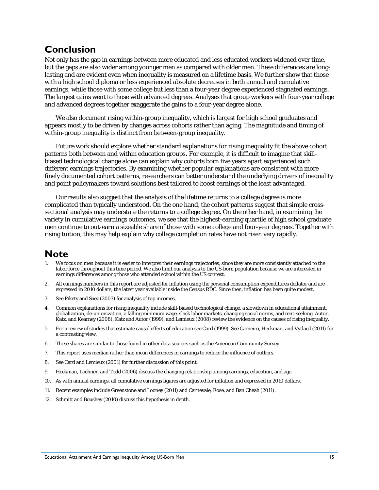### **Conclusion**

Not only has the gap in earnings between more educated and less educated workers widened over time, but the gaps are also wider among younger men as compared with older men. These differences are longlasting and are evident even when inequality is measured on a lifetime basis. We further show that those with a high school diploma or less experienced absolute decreases in both annual and cumulative earnings, while those with some college but less than a four-year degree experienced stagnated earnings. The largest gains went to those with advanced degrees. Analyses that group workers with four-year college and advanced degrees together exaggerate the gains to a four-year degree alone.

We also document rising within-group inequality, which is largest for high school graduates and appears mostly to be driven by changes across cohorts rather than aging. The magnitude and timing of within-group inequality is distinct from between-group inequality.

Future work should explore whether standard explanations for rising inequality fit the above cohort patterns both between and within education groups**.** For example, it is difficult to imagine that skillbiased technological change alone can explain why cohorts born five years apart experienced such different earnings trajectories. By examining whether popular explanations are consistent with more finely documented cohort patterns, researchers can better understand the underlying drivers of inequality and point policymakers toward solutions best tailored to boost earnings of the least advantaged.

Our results also suggest that the analysis of the lifetime returns to a college degree is more complicated than typically understood. On the one hand, the cohort patterns suggest that simple crosssectional analysis may understate the returns to a college degree. On the other hand, in examining the variety in cumulative earnings outcomes, we see that the highest-earning quartile of high school graduate men continue to out-earn a sizeable share of those with some college and four-year degrees. Together with rising tuition, this may help explain why college completion rates have not risen very rapidly.

### **Note**

- We focus on men because it is easier to interpret their earnings trajectories, since they are more consistently attached to the labor force throughout this time period. We also limit our analysis to the US-born population because we are interested in earnings differences among those who attended school within the US context.
- 2. All earnings numbers in this report are adjusted for inflation using the personal consumption expenditures deflator and are expressed in 2010 dollars, the latest year available inside the Census RDC. Since then, inflation has been quite modest.
- 3. See Pikety and Saez (2003) for analysis of top incomes.
- 4. Common explanations for rising inequality include skill-biased technological change, a slowdown in educational attainment, globalization, de-unionization, a falling minimum wage, slack labor markets, changing social norms, and rent-seeking. Autor, Katz, and Kearney (2008), Katz and Autor (1999), and Lemieux (2008) review the evidence on the causes of rising inequality.
- 5. For a review of studies that estimate causal effects of education see Card (1999). See Carneiro, Heckman, and Vytlacil (2011) for a contrasting view.
- 6. These shares are similar to those found in other data sources such as the American Community Survey.
- 7. This report uses median rather than mean differences in earnings to reduce the influence of outliers.
- 8. See Card and Lemieux (2001) for further discussion of this point.
- 9. Heckman, Lochner, and Todd (2006) discuss the changing relationship among earnings, education, and age.
- 10. As with annual earnings, all cumulative earnings figures are adjusted for inflation and expressed in 2010 dollars.
- 11. Recent examples include Greenstone and Looney (2011) and Carnevale, Rose, and Ban Cheah (2011).
- 12. Schmitt and Boushey (2010) discuss this hypothesis in depth.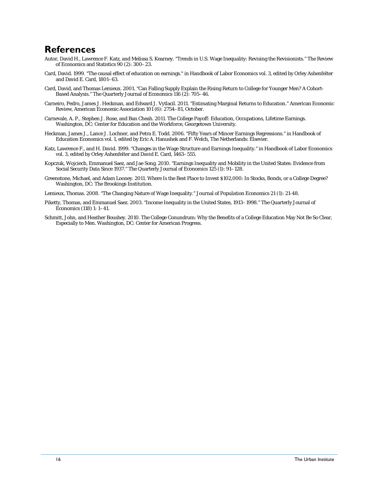### **References**

- Autor, David H., Lawrence F. Katz, and Melissa S. Kearney. "Trends in U.S. Wage Inequality: Revising the Revisionists." The Review of Economics and Statistics 90 (2): 300–23.
- Card, David. 1999. "The causal effect of education on earnings." in Handbook of Labor Economics vol. 3, edited by Orley Ashenfelter and David E. Card, 1801–63.
- Card, David, and Thomas Lemieux. 2001. "Can Falling Supply Explain the Rising Return to College for Younger Men? A Cohort-Based Analysis." The Quarterly Journal of Economics 116 (2): 705–46.
- Carneiro, Pedro, James J. Heckman, and Edward J. Vytlacil. 2011. "Estimating Marginal Returns to Education." American Economic Review, American Economic Association 101 (6): 2754–81, October.
- Carnevale, A. P., Stephen J. Rose, and Ban Cheah. 2011. The College Payoff: Education, Occupations, Lifetime Earnings. Washington, DC: Center for Education and the Workforce, Georgetown University.
- Heckman, James J., Lance J. Lochner, and Petra E. Todd. 2006. "Fifty Years of Mincer Earnings Regressions." in Handbook of Education Economics vol. 1, edited by Eric A. Hanushek and F. Welch, The Netherlands: Elsevier.
- Katz, Lawrence F., and H. David. 1999. "Changes in the Wage Structure and Earnings Inequality." in Handbook of Labor Economics vol. 3, edited by Orley Ashenfelter and David E. Card, 1463–555.
- Kopczuk, Wojciech, Emmanuel Saez, and Jae Song. 2010. "Earnings Inequality and Mobility in the United States: Evidence from Social Security Data Since 1937." The Quarterly Journal of Economics 125 (1): 91–128.
- Greenstone, Michael, and Adam Looney. 2011. Where Is the Best Place to Invest \$102,000: In Stocks, Bonds, or a College Degree? Washington, DC: The Brookings Institution.
- Lemieux, Thomas. 2008. "The Changing Nature of Wage Inequality." Journal of Population Economics 21 (1): 21-48.
- Piketty, Thomas, and Emmanuel Saez. 2003. "Income Inequality in the United States, 1913–1998." The Quarterly Journal of Economics (118) 1: 1–41.
- Schmitt, John, and Heather Boushey. 2010. The College Conundrum: Why the Benefits of a College Education May Not Be So Clear, Especially to Men. Washington, DC: Center for American Progress.